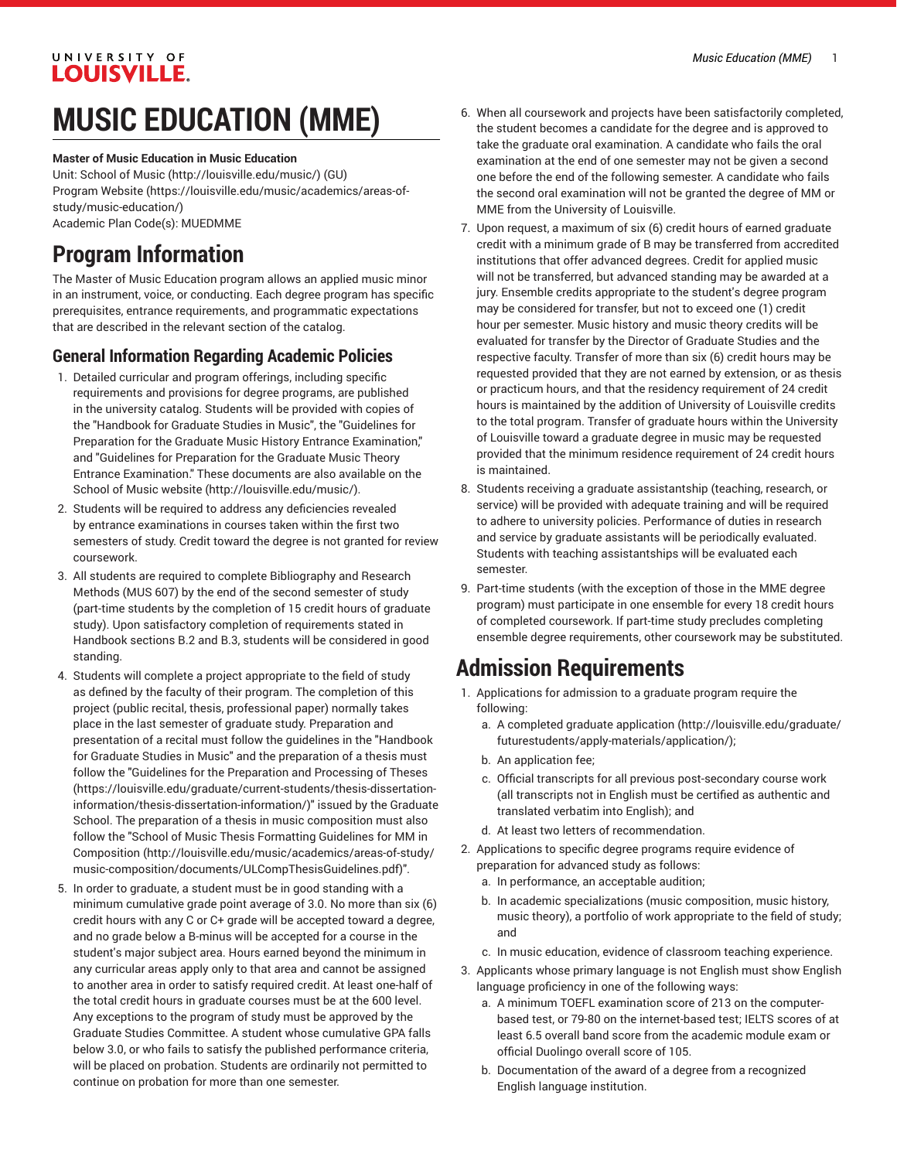# UNIVERSITY OF **LOUISVILLE.**

# **MUSIC EDUCATION (MME)**

#### **Master of Music Education in Music Education**

Unit: [School of Music \(http://louisville.edu/music/](http://louisville.edu/music/)) (GU) [Program](https://louisville.edu/music/academics/areas-of-study/music-education/) Website [\(https://louisville.edu/music/academics/areas-of](https://louisville.edu/music/academics/areas-of-study/music-education/)[study/music-education/\)](https://louisville.edu/music/academics/areas-of-study/music-education/) Academic Plan Code(s): MUEDMME

# **Program Information**

The Master of Music Education program allows an applied music minor in an instrument, voice, or conducting. Each degree program has specific prerequisites, entrance requirements, and programmatic expectations that are described in the relevant section of the catalog.

# **General Information Regarding Academic Policies**

- 1. Detailed curricular and program offerings, including specific requirements and provisions for degree programs, are published in the university catalog. Students will be provided with copies of the "Handbook for Graduate Studies in Music", the "Guidelines for Preparation for the Graduate Music History Entrance Examination," and "Guidelines for Preparation for the Graduate Music Theory Entrance Examination." These documents are also available on [the](http://louisville.edu/music/) [School of Music website](http://louisville.edu/music/) ([http://louisville.edu/music/\)](http://louisville.edu/music/).
- 2. Students will be required to address any deficiencies revealed by entrance examinations in courses taken within the first two semesters of study. Credit toward the degree is not granted for review coursework.
- 3. All students are required to complete Bibliography and Research Methods (MUS 607) by the end of the second semester of study (part-time students by the completion of 15 credit hours of graduate study). Upon satisfactory completion of requirements stated in Handbook sections B.2 and B.3, students will be considered in good standing.
- 4. Students will complete a project appropriate to the field of study as defined by the faculty of their program. The completion of this project (public recital, thesis, professional paper) normally takes place in the last semester of graduate study. Preparation and presentation of a recital must follow the guidelines in the "Handbook for Graduate Studies in Music" and the preparation of a thesis must follow the "Guidelines for the [Preparation](https://louisville.edu/graduate/current-students/thesis-dissertation-information/thesis-dissertation-information/) and Processing of Theses ([https://louisville.edu/graduate/current-students/thesis-dissertation](https://louisville.edu/graduate/current-students/thesis-dissertation-information/thesis-dissertation-information/)[information/thesis-dissertation-information/](https://louisville.edu/graduate/current-students/thesis-dissertation-information/thesis-dissertation-information/))" issued by the Graduate School. The preparation of a thesis in music composition must also follow the "School of Music Thesis [Formatting](http://louisville.edu/music/academics/areas-of-study/music-composition/documents/ULCompThesisGuidelines.pdf) Guidelines for MM in [Composition \(http://louisville.edu/music/academics/areas-of-study/](http://louisville.edu/music/academics/areas-of-study/music-composition/documents/ULCompThesisGuidelines.pdf) [music-composition/documents/ULCompThesisGuidelines.pdf\)](http://louisville.edu/music/academics/areas-of-study/music-composition/documents/ULCompThesisGuidelines.pdf)".
- 5. In order to graduate, a student must be in good standing with a minimum cumulative grade point average of 3.0. No more than six (6) credit hours with any C or C+ grade will be accepted toward a degree, and no grade below a B-minus will be accepted for a course in the student's major subject area. Hours earned beyond the minimum in any curricular areas apply only to that area and cannot be assigned to another area in order to satisfy required credit. At least one-half of the total credit hours in graduate courses must be at the 600 level. Any exceptions to the program of study must be approved by the Graduate Studies Committee. A student whose cumulative GPA falls below 3.0, or who fails to satisfy the published performance criteria, will be placed on probation. Students are ordinarily not permitted to continue on probation for more than one semester.
- 6. When all coursework and projects have been satisfactorily completed, the student becomes a candidate for the degree and is approved to take the graduate oral examination. A candidate who fails the oral examination at the end of one semester may not be given a second one before the end of the following semester. A candidate who fails the second oral examination will not be granted the degree of MM or MME from the University of Louisville.
- 7. Upon request, a maximum of six (6) credit hours of earned graduate credit with a minimum grade of B may be transferred from accredited institutions that offer advanced degrees. Credit for applied music will not be transferred, but advanced standing may be awarded at a jury. Ensemble credits appropriate to the student's degree program may be considered for transfer, but not to exceed one (1) credit hour per semester. Music history and music theory credits will be evaluated for transfer by the Director of Graduate Studies and the respective faculty. Transfer of more than six (6) credit hours may be requested provided that they are not earned by extension, or as thesis or practicum hours, and that the residency requirement of 24 credit hours is maintained by the addition of University of Louisville credits to the total program. Transfer of graduate hours within the University of Louisville toward a graduate degree in music may be requested provided that the minimum residence requirement of 24 credit hours is maintained.
- 8. Students receiving a graduate assistantship (teaching, research, or service) will be provided with adequate training and will be required to adhere to university policies. Performance of duties in research and service by graduate assistants will be periodically evaluated. Students with teaching assistantships will be evaluated each semester.
- 9. Part-time students (with the exception of those in the MME degree program) must participate in one ensemble for every 18 credit hours of completed coursework. If part-time study precludes completing ensemble degree requirements, other coursework may be substituted.

# **Admission Requirements**

- 1. Applications for admission to a graduate program require the following:
	- a. A completed [graduate application \(http://louisville.edu/graduate/](http://louisville.edu/graduate/futurestudents/apply-materials/application/) [futurestudents/apply-materials/application/\)](http://louisville.edu/graduate/futurestudents/apply-materials/application/);
	- b. An application fee;
	- c. Official transcripts for all previous post-secondary course work (all transcripts not in English must be certified as authentic and translated verbatim into English); and
	- d. At least two letters of recommendation.
- 2. Applications to specific degree programs require evidence of preparation for advanced study as follows:
	- a. In performance, an acceptable audition;
	- b. In academic specializations (music composition, music history, music theory), a portfolio of work appropriate to the field of study; and
	- c. In music education, evidence of classroom teaching experience.
- 3. Applicants whose primary language is not English must show English language proficiency in one of the following ways:
	- a. A minimum TOEFL examination score of 213 on the computerbased test, or 79-80 on the internet-based test; IELTS scores of at least 6.5 overall band score from the academic module exam or official Duolingo overall score of 105.
	- b. Documentation of the award of a degree from a recognized English language institution.